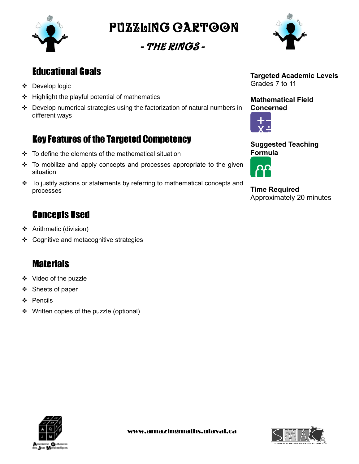

Puzzling cartoon

- The Rings -



# Educational Goals

- Develop logic
- $\div$  Highlight the playful potential of mathematics
- $\div$  Develop numerical strategies using the factorization of natural numbers in different ways

# Key Features of the Targeted Competency

- $\div$  To define the elements of the mathematical situation
- $\div$  To mobilize and apply concepts and processes appropriate to the given situation
- To justify actions or statements by referring to mathematical concepts and processes

# **Concepts Used**

- Arithmetic (division)
- ❖ Cognitive and metacognitive strategies

# **Materials**

- ❖ Video of the puzzle
- ❖ Sheets of paper
- ❖ Pencils
- ❖ Written copies of the puzzle (optional)



**Mathematical Field Concerned**



**Suggested Teaching Formula**



**Time Required** Approximately 20 minutes